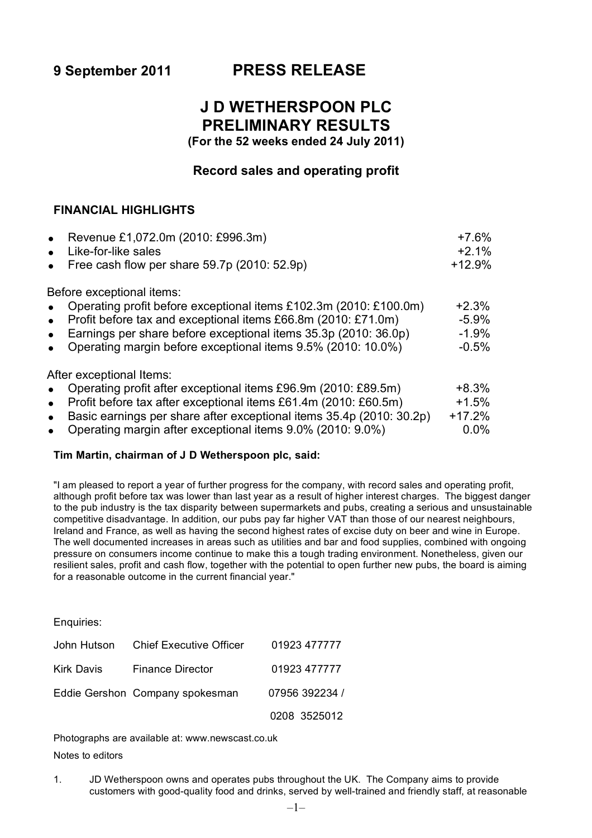# **9 September 2011 PRESS RELEASE**

# **J D WETHERSPOON PLC PRELIMINARY RESULTS**

**(For the 52 weeks ended 24 July 2011)**

# **Record sales and operating profit**

# **FINANCIAL HIGHLIGHTS**

| Revenue £1,072.0m (2010: £996.3m)<br>$\bullet$                                    | $+7.6%$  |
|-----------------------------------------------------------------------------------|----------|
| Like-for-like sales                                                               | $+2.1%$  |
| Free cash flow per share 59.7p (2010: 52.9p)                                      | $+12.9%$ |
| Before exceptional items:                                                         |          |
| Operating profit before exceptional items £102.3m (2010: £100.0m)                 | $+2.3%$  |
| Profit before tax and exceptional items £66.8m (2010: £71.0m)<br>$\bullet$        | $-5.9%$  |
| Earnings per share before exceptional items 35.3p (2010: 36.0p)<br>$\bullet$      | $-1.9%$  |
| Operating margin before exceptional items 9.5% (2010: 10.0%)                      | $-0.5%$  |
| After exceptional Items:                                                          |          |
| Operating profit after exceptional items £96.9m (2010: £89.5m)                    | $+8.3%$  |
| Profit before tax after exceptional items £61.4m (2010: £60.5m)<br>$\bullet$      | $+1.5%$  |
| Basic earnings per share after exceptional items 35.4p (2010: 30.2p)<br>$\bullet$ | $+17.2%$ |
| Operating margin after exceptional items 9.0% (2010: 9.0%)<br>$\bullet$           | 0.0%     |

# **Tim Martin, chairman of J D Wetherspoon plc, said:**

"I am pleased to report a year of further progress for the company, with record sales and operating profit, although profit before tax was lower than last year as a result of higher interest charges. The biggest danger to the pub industry is the tax disparity between supermarkets and pubs, creating a serious and unsustainable competitive disadvantage. In addition, our pubs pay far higher VAT than those of our nearest neighbours, Ireland and France, as well as having the second highest rates of excise duty on beer and wine in Europe. The well documented increases in areas such as utilities and bar and food supplies, combined with ongoing pressure on consumers income continue to make this a tough trading environment. Nonetheless, given our resilient sales, profit and cash flow, together with the potential to open further new pubs, the board is aiming for a reasonable outcome in the current financial year."

Enquiries:

|            | John Hutson Chief Executive Officer | 01923 477777   |
|------------|-------------------------------------|----------------|
| Kirk Davis | <b>Finance Director</b>             | 01923 477777   |
|            | Eddie Gershon Company spokesman     | 07956 392234 / |
|            |                                     | 0208 3525012   |

Photographs are available at: www.newscast.co.uk Notes to editors

1. JD Wetherspoon owns and operates pubs throughout the UK. The Company aims to provide customers with good-quality food and drinks, served by well-trained and friendly staff, at reasonable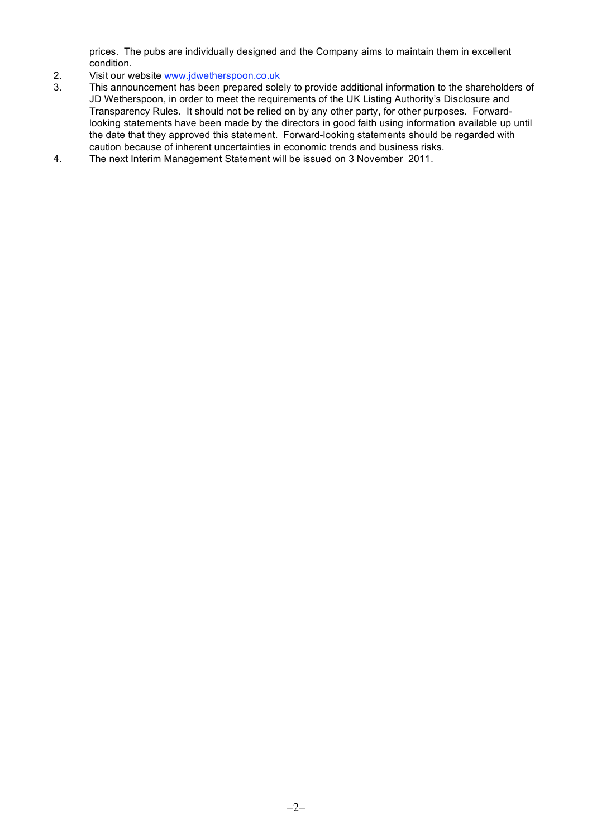prices. The pubs are individually designed and the Company aims to maintain them in excellent condition.

- 2. Visit our website www.jdwetherspoon.co.uk
- 3. This announcement has been prepared solely to provide additional information to the shareholders of JD Wetherspoon, in order to meet the requirements of the UK Listing Authority's Disclosure and Transparency Rules. It should not be relied on by any other party, for other purposes. Forwardlooking statements have been made by the directors in good faith using information available up until the date that they approved this statement. Forward-looking statements should be regarded with caution because of inherent uncertainties in economic trends and business risks.
- 4. The next Interim Management Statement will be issued on 3 November 2011.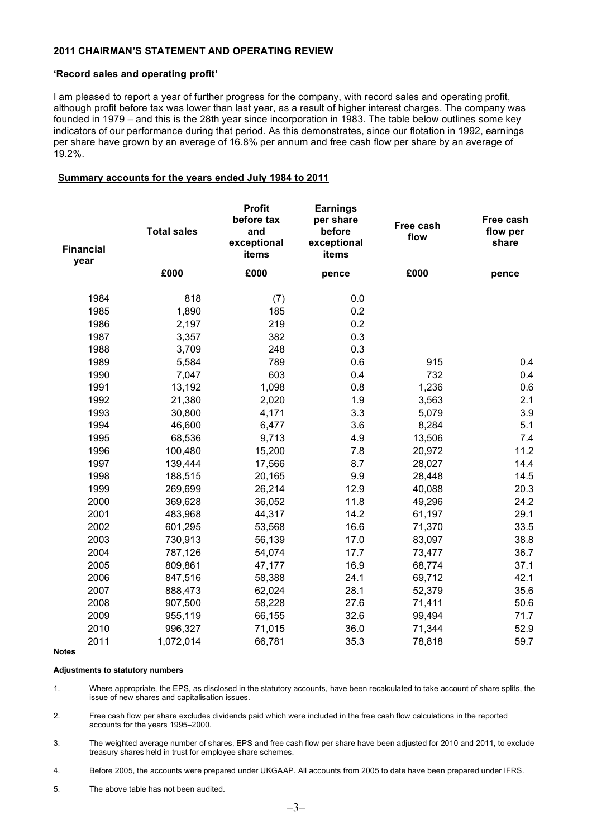#### **2011 CHAIRMAN'S STATEMENT AND OPERATING REVIEW**

#### **'Record sales and operating profit'**

I am pleased to report a year of further progress for the company, with record sales and operating profit, although profit before tax was lower than last year, as a result of higher interest charges. The company was founded in 1979 – and this is the 28th year since incorporation in 1983. The table below outlines some key indicators of our performance during that period. As this demonstrates, since our flotation in 1992, earnings per share have grown by an average of 16.8% per annum and free cash flow per share by an average of 19.2%.

#### **Summary accounts for the years ended July 1984 to 2011**

| <b>Financial</b><br>year | <b>Total sales</b> | <b>Profit</b><br>before tax<br>and<br>exceptional<br>items | <b>Earnings</b><br>per share<br>before<br>exceptional<br>items | Free cash<br>flow | Free cash<br>flow per<br>share |
|--------------------------|--------------------|------------------------------------------------------------|----------------------------------------------------------------|-------------------|--------------------------------|
|                          | £000               | £000                                                       | pence                                                          | £000              | pence                          |
| 1984                     | 818                | (7)                                                        | 0.0                                                            |                   |                                |
| 1985                     | 1,890              | 185                                                        | 0.2                                                            |                   |                                |
| 1986                     | 2,197              | 219                                                        | 0.2                                                            |                   |                                |
| 1987                     | 3,357              | 382                                                        | 0.3                                                            |                   |                                |
| 1988                     | 3,709              | 248                                                        | 0.3                                                            |                   |                                |
| 1989                     | 5,584              | 789                                                        | 0.6                                                            | 915               | 0.4                            |
| 1990                     | 7,047              | 603                                                        | 0.4                                                            | 732               | 0.4                            |
| 1991                     | 13,192             | 1,098                                                      | 0.8                                                            | 1,236             | 0.6                            |
| 1992                     | 21,380             | 2,020                                                      | 1.9                                                            | 3,563             | 2.1                            |
| 1993                     | 30,800             | 4,171                                                      | 3.3                                                            | 5,079             | 3.9                            |
| 1994                     | 46,600             | 6,477                                                      | 3.6                                                            | 8,284             | 5.1                            |
| 1995                     | 68,536             | 9,713                                                      | 4.9                                                            | 13,506            | 7.4                            |
| 1996                     | 100,480            | 15,200                                                     | 7.8                                                            | 20,972            | 11.2                           |
| 1997                     | 139,444            | 17,566                                                     | 8.7                                                            | 28,027            | 14.4                           |
| 1998                     | 188,515            | 20,165                                                     | 9.9                                                            | 28,448            | 14.5                           |
| 1999                     | 269,699            | 26,214                                                     | 12.9                                                           | 40,088            | 20.3                           |
| 2000                     | 369,628            | 36,052                                                     | 11.8                                                           | 49,296            | 24.2                           |
| 2001                     | 483,968            | 44,317                                                     | 14.2                                                           | 61,197            | 29.1                           |
| 2002                     | 601,295            | 53,568                                                     | 16.6                                                           | 71,370            | 33.5                           |
| 2003                     | 730,913            | 56,139                                                     | 17.0                                                           | 83,097            | 38.8                           |
| 2004                     | 787,126            | 54,074                                                     | 17.7                                                           | 73,477            | 36.7                           |
| 2005                     | 809,861            | 47,177                                                     | 16.9                                                           | 68,774            | 37.1                           |
| 2006                     | 847,516            | 58,388                                                     | 24.1                                                           | 69,712            | 42.1                           |
| 2007                     | 888,473            | 62,024                                                     | 28.1                                                           | 52,379            | 35.6                           |
| 2008                     | 907,500            | 58,228                                                     | 27.6                                                           | 71,411            | 50.6                           |
| 2009                     | 955,119            | 66,155                                                     | 32.6                                                           | 99,494            | 71.7                           |
| 2010                     | 996,327            | 71,015                                                     | 36.0                                                           | 71,344            | 52.9                           |
| 2011                     | 1,072,014          | 66,781                                                     | 35.3                                                           | 78,818            | 59.7                           |

**Notes**

#### **Adjustments to statutory numbers**

1. Where appropriate, the EPS, as disclosed in the statutory accounts, have been recalculated to take account of share splits, the issue of new shares and capitalisation issues.

2. Free cash flow per share excludes dividends paid which were included in the free cash flow calculations in the reported accounts for the years 1995–2000.

3. The weighted average number of shares, EPS and free cash flow per share have been adjusted for 2010 and 2011, to exclude treasury shares held in trust for employee share schemes.

4. Before 2005, the accounts were prepared under UKGAAP. All accounts from 2005 to date have been prepared under IFRS.

5. The above table has not been audited.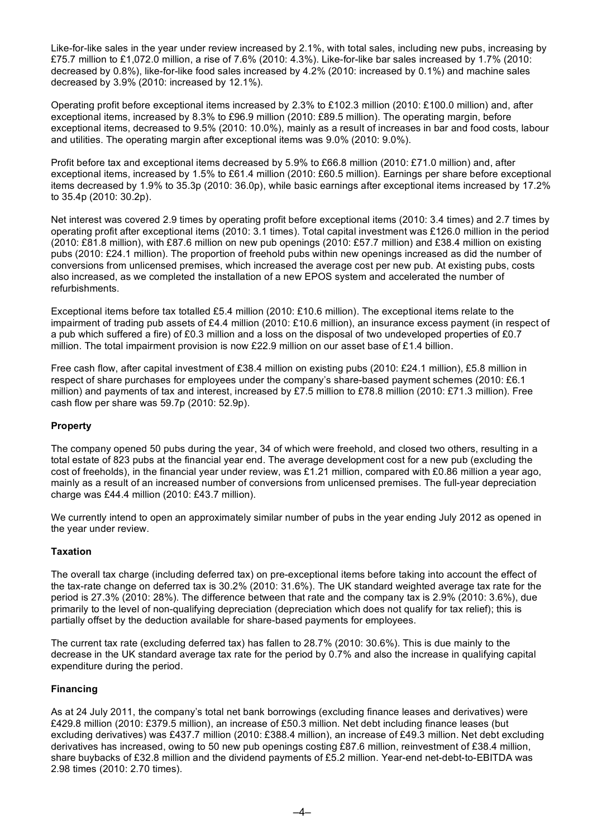Like-for-like sales in the year under review increased by 2.1%, with total sales, including new pubs, increasing by £75.7 million to £1,072.0 million, a rise of 7.6% (2010: 4.3%). Like-for-like bar sales increased by 1.7% (2010: decreased by 0.8%), like-for-like food sales increased by 4.2% (2010: increased by 0.1%) and machine sales decreased by 3.9% (2010: increased by 12.1%).

Operating profit before exceptional items increased by 2.3% to £102.3 million (2010: £100.0 million) and, after exceptional items, increased by 8.3% to £96.9 million (2010: £89.5 million). The operating margin, before exceptional items, decreased to 9.5% (2010: 10.0%), mainly as a result of increases in bar and food costs, labour and utilities. The operating margin after exceptional items was 9.0% (2010: 9.0%).

Profit before tax and exceptional items decreased by 5.9% to £66.8 million (2010: £71.0 million) and, after exceptional items, increased by 1.5% to £61.4 million (2010: £60.5 million). Earnings per share before exceptional items decreased by 1.9% to 35.3p (2010: 36.0p), while basic earnings after exceptional items increased by 17.2% to 35.4p (2010: 30.2p).

Net interest was covered 2.9 times by operating profit before exceptional items (2010: 3.4 times) and 2.7 times by operating profit after exceptional items (2010: 3.1 times). Total capital investment was £126.0 million in the period (2010: £81.8 million), with £87.6 million on new pub openings (2010: £57.7 million) and £38.4 million on existing pubs (2010: £24.1 million). The proportion of freehold pubs within new openings increased as did the number of conversions from unlicensed premises, which increased the average cost per new pub. At existing pubs, costs also increased, as we completed the installation of a new EPOS system and accelerated the number of refurbishments.

Exceptional items before tax totalled £5.4 million (2010: £10.6 million). The exceptional items relate to the impairment of trading pub assets of £4.4 million (2010: £10.6 million), an insurance excess payment (in respect of a pub which suffered a fire) of £0.3 million and a loss on the disposal of two undeveloped properties of £0.7 million. The total impairment provision is now £22.9 million on our asset base of £1.4 billion.

Free cash flow, after capital investment of £38.4 million on existing pubs (2010: £24.1 million), £5.8 million in respect of share purchases for employees under the company's share-based payment schemes (2010: £6.1 million) and payments of tax and interest, increased by £7.5 million to £78.8 million (2010: £71.3 million). Free cash flow per share was 59.7p (2010: 52.9p).

# **Property**

The company opened 50 pubs during the year, 34 of which were freehold, and closed two others, resulting in a total estate of 823 pubs at the financial year end. The average development cost for a new pub (excluding the cost of freeholds), in the financial year under review, was £1.21 million, compared with £0.86 million a year ago, mainly as a result of an increased number of conversions from unlicensed premises. The full-year depreciation charge was £44.4 million (2010: £43.7 million).

We currently intend to open an approximately similar number of pubs in the year ending July 2012 as opened in the year under review.

# **Taxation**

The overall tax charge (including deferred tax) on pre-exceptional items before taking into account the effect of the tax-rate change on deferred tax is 30.2% (2010: 31.6%). The UK standard weighted average tax rate for the period is 27.3% (2010: 28%). The difference between that rate and the company tax is 2.9% (2010: 3.6%), due primarily to the level of non-qualifying depreciation (depreciation which does not qualify for tax relief); this is partially offset by the deduction available for share-based payments for employees.

The current tax rate (excluding deferred tax) has fallen to 28.7% (2010: 30.6%). This is due mainly to the decrease in the UK standard average tax rate for the period by 0.7% and also the increase in qualifying capital expenditure during the period.

# **Financing**

As at 24 July 2011, the company's total net bank borrowings (excluding finance leases and derivatives) were £429.8 million (2010: £379.5 million), an increase of £50.3 million. Net debt including finance leases (but excluding derivatives) was £437.7 million (2010: £388.4 million), an increase of £49.3 million. Net debt excluding derivatives has increased, owing to 50 new pub openings costing £87.6 million, reinvestment of £38.4 million, share buybacks of £32.8 million and the dividend payments of £5.2 million. Year-end net-debt-to-EBITDA was 2.98 times (2010: 2.70 times).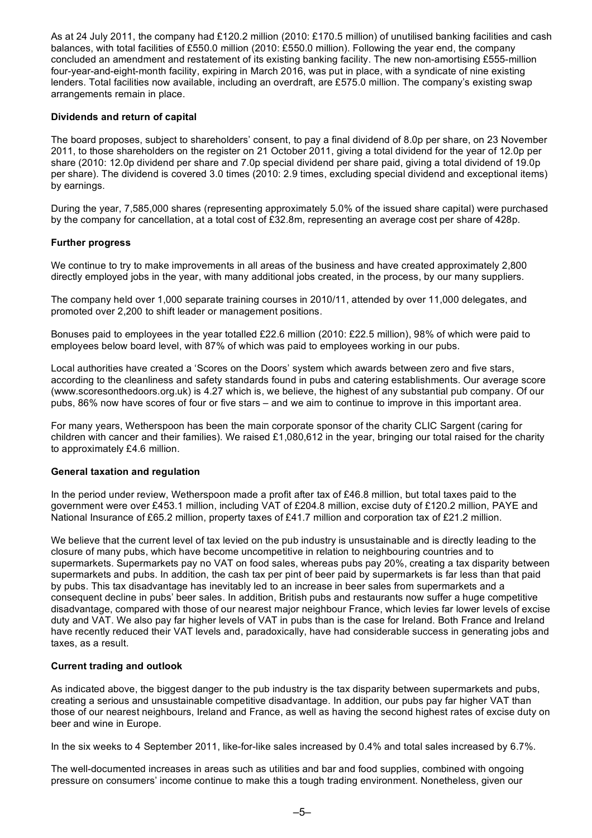As at 24 July 2011, the company had £120.2 million (2010: £170.5 million) of unutilised banking facilities and cash balances, with total facilities of £550.0 million (2010: £550.0 million). Following the year end, the company concluded an amendment and restatement of its existing banking facility. The new non-amortising £555-million four-year-and-eight-month facility, expiring in March 2016, was put in place, with a syndicate of nine existing lenders. Total facilities now available, including an overdraft, are £575.0 million. The company's existing swap arrangements remain in place.

### **Dividends and return of capital**

The board proposes, subject to shareholders' consent, to pay a final dividend of 8.0p per share, on 23 November 2011, to those shareholders on the register on 21 October 2011, giving a total dividend for the year of 12.0p per share (2010: 12.0p dividend per share and 7.0p special dividend per share paid, giving a total dividend of 19.0p per share). The dividend is covered 3.0 times (2010: 2.9 times, excluding special dividend and exceptional items) by earnings.

During the year, 7,585,000 shares (representing approximately 5.0% of the issued share capital) were purchased by the company for cancellation, at a total cost of £32.8m, representing an average cost per share of 428p.

#### **Further progress**

We continue to try to make improvements in all areas of the business and have created approximately 2,800 directly employed jobs in the year, with many additional jobs created, in the process, by our many suppliers.

The company held over 1,000 separate training courses in 2010/11, attended by over 11,000 delegates, and promoted over 2,200 to shift leader or management positions.

Bonuses paid to employees in the year totalled £22.6 million (2010: £22.5 million), 98% of which were paid to employees below board level, with 87% of which was paid to employees working in our pubs.

Local authorities have created a 'Scores on the Doors' system which awards between zero and five stars, according to the cleanliness and safety standards found in pubs and catering establishments. Our average score (www.scoresonthedoors.org.uk) is 4.27 which is, we believe, the highest of any substantial pub company. Of our pubs, 86% now have scores of four or five stars – and we aim to continue to improve in this important area.

For many years, Wetherspoon has been the main corporate sponsor of the charity CLIC Sargent (caring for children with cancer and their families). We raised £1,080,612 in the year, bringing our total raised for the charity to approximately £4.6 million.

#### **General taxation and regulation**

In the period under review, Wetherspoon made a profit after tax of £46.8 million, but total taxes paid to the government were over £453.1 million, including VAT of £204.8 million, excise duty of £120.2 million, PAYE and National Insurance of £65.2 million, property taxes of £41.7 million and corporation tax of £21.2 million.

We believe that the current level of tax levied on the pub industry is unsustainable and is directly leading to the closure of many pubs, which have become uncompetitive in relation to neighbouring countries and to supermarkets. Supermarkets pay no VAT on food sales, whereas pubs pay 20%, creating a tax disparity between supermarkets and pubs. In addition, the cash tax per pint of beer paid by supermarkets is far less than that paid by pubs. This tax disadvantage has inevitably led to an increase in beer sales from supermarkets and a consequent decline in pubs' beer sales. In addition, British pubs and restaurants now suffer a huge competitive disadvantage, compared with those of our nearest major neighbour France, which levies far lower levels of excise duty and VAT. We also pay far higher levels of VAT in pubs than is the case for Ireland. Both France and Ireland have recently reduced their VAT levels and, paradoxically, have had considerable success in generating jobs and taxes, as a result.

# **Current trading and outlook**

As indicated above, the biggest danger to the pub industry is the tax disparity between supermarkets and pubs, creating a serious and unsustainable competitive disadvantage. In addition, our pubs pay far higher VAT than those of our nearest neighbours, Ireland and France, as well as having the second highest rates of excise duty on beer and wine in Europe.

In the six weeks to 4 September 2011, like-for-like sales increased by 0.4% and total sales increased by 6.7%.

The well-documented increases in areas such as utilities and bar and food supplies, combined with ongoing pressure on consumers' income continue to make this a tough trading environment. Nonetheless, given our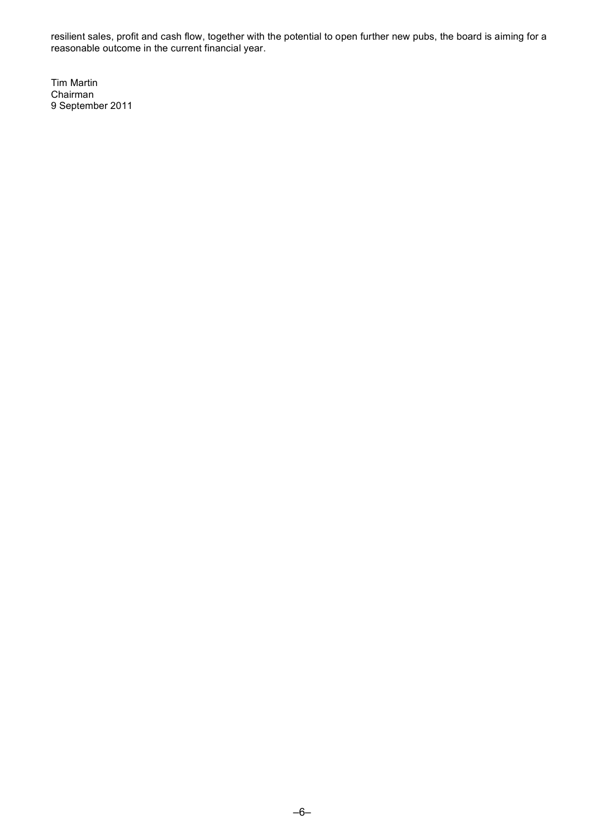resilient sales, profit and cash flow, together with the potential to open further new pubs, the board is aiming for a reasonable outcome in the current financial year.

Tim Martin Chairman 9 September 2011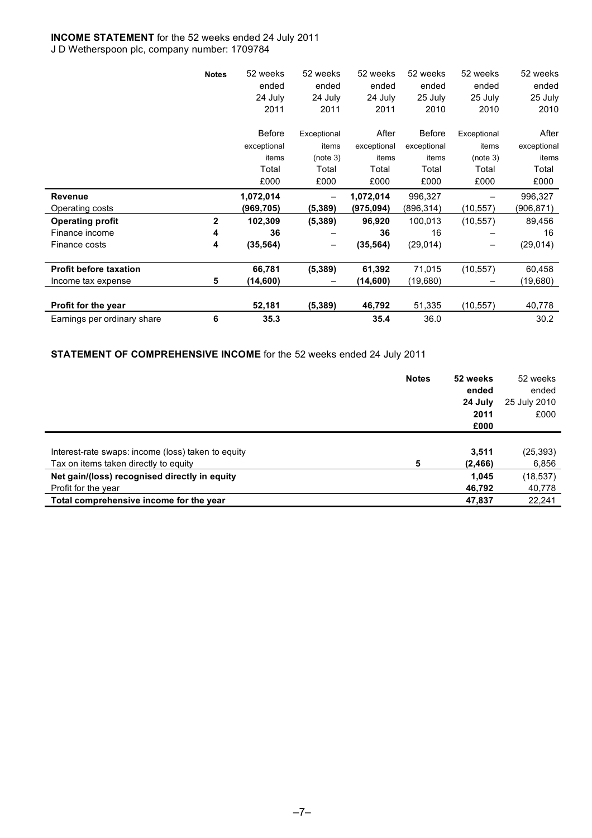# **INCOME STATEMENT** for the 52 weeks ended 24 July 2011

J D Wetherspoon plc, company number: 1709784

|                               | <b>Notes</b> | 52 weeks      | 52 weeks    | 52 weeks    | 52 weeks      | 52 weeks    | 52 weeks    |
|-------------------------------|--------------|---------------|-------------|-------------|---------------|-------------|-------------|
|                               |              | ended         | ended       | ended       | ended         | ended       | ended       |
|                               |              | 24 July       | 24 July     | 24 July     | 25 July       | 25 July     | 25 July     |
|                               |              | 2011          | 2011        | 2011        | 2010          | 2010        | 2010        |
|                               |              | <b>Before</b> | Exceptional | After       | <b>Before</b> | Exceptional | After       |
|                               |              | exceptional   | items       | exceptional | exceptional   | items       | exceptional |
|                               |              | items         | (note 3)    | items       | items         | (note 3)    | items       |
|                               |              | Total         | Total       | Total       | Total         | Total       | Total       |
|                               |              | £000          | £000        | £000        | £000          | £000        | £000        |
| Revenue                       |              | 1,072,014     |             | 1,072,014   | 996,327       |             | 996,327     |
| Operating costs               |              | (969,705)     | (5, 389)    | (975,094)   | (896,314)     | (10, 557)   | (906,871)   |
|                               |              |               |             |             |               |             |             |
| <b>Operating profit</b>       | $\mathbf{2}$ | 102,309       | (5, 389)    | 96,920      | 100,013       | (10, 557)   | 89,456      |
| Finance income                | 4            | 36            |             | 36          | 16            |             | 16          |
| Finance costs                 | 4            | (35, 564)     |             | (35, 564)   | (29, 014)     |             | (29, 014)   |
| <b>Profit before taxation</b> |              | 66,781        | (5, 389)    | 61,392      | 71,015        | (10, 557)   | 60,458      |
| Income tax expense            | 5            | (14,600)      |             | (14,600)    | (19,680)      |             | (19,680)    |
| Profit for the year           |              | 52,181        | (5, 389)    | 46,792      | 51,335        | (10, 557)   | 40,778      |

**STATEMENT OF COMPREHENSIVE INCOME** for the 52 weeks ended 24 July 2011

|                                                    | <b>Notes</b> | 52 weeks | 52 weeks     |
|----------------------------------------------------|--------------|----------|--------------|
|                                                    |              | ended    | ended        |
|                                                    |              | 24 July  | 25 July 2010 |
|                                                    |              | 2011     | £000         |
|                                                    |              | £000     |              |
|                                                    |              |          |              |
| Interest-rate swaps: income (loss) taken to equity |              | 3,511    | (25, 393)    |
| Tax on items taken directly to equity              | 5            | (2, 466) | 6,856        |
| Net gain/(loss) recognised directly in equity      |              | 1,045    | (18, 537)    |
| Profit for the year                                |              | 46,792   | 40,778       |
| Total comprehensive income for the year            |              | 47,837   | 22,241       |
|                                                    |              |          |              |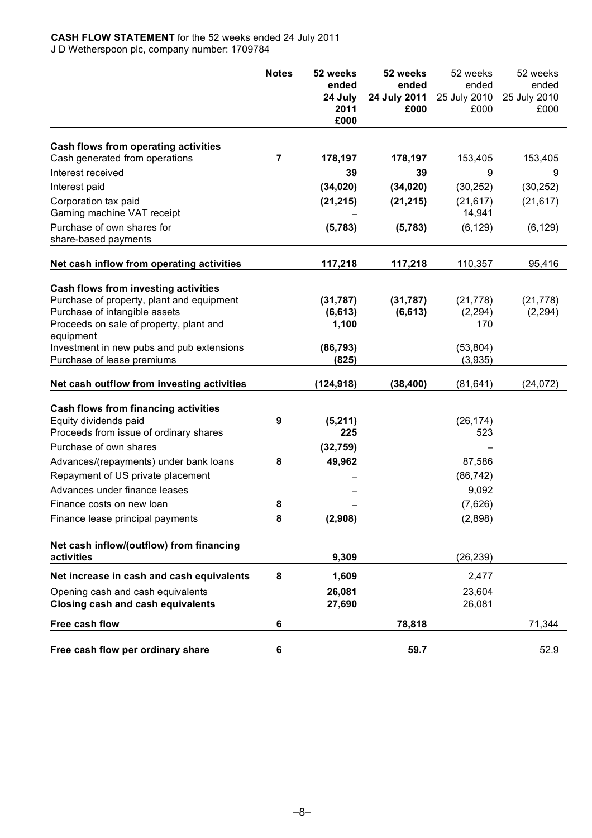#### **CASH FLOW STATEMENT** for the 52 weeks ended 24 July 2011 J D Wetherspoon plc, company number: 1709784

|                                                                                                                                                                                                                         | <b>Notes</b> | 52 weeks<br>ended<br>24 July<br>2011<br>£000 | 52 weeks<br>ended<br>24 July 2011<br>£000 | 52 weeks<br>ended<br>25 July 2010<br>£000 | 52 weeks<br>ended<br>25 July 2010<br>£000 |
|-------------------------------------------------------------------------------------------------------------------------------------------------------------------------------------------------------------------------|--------------|----------------------------------------------|-------------------------------------------|-------------------------------------------|-------------------------------------------|
|                                                                                                                                                                                                                         |              |                                              |                                           |                                           |                                           |
| Cash flows from operating activities<br>Cash generated from operations                                                                                                                                                  | 7            | 178,197                                      | 178,197                                   | 153,405                                   | 153,405                                   |
| Interest received                                                                                                                                                                                                       |              | 39                                           | 39                                        | 9                                         | 9                                         |
| Interest paid                                                                                                                                                                                                           |              | (34, 020)                                    | (34, 020)                                 | (30, 252)                                 | (30, 252)                                 |
| Corporation tax paid<br>Gaming machine VAT receipt                                                                                                                                                                      |              | (21, 215)                                    | (21, 215)                                 | (21, 617)<br>14,941                       | (21, 617)                                 |
| Purchase of own shares for<br>share-based payments                                                                                                                                                                      |              | (5,783)                                      | (5,783)                                   | (6, 129)                                  | (6, 129)                                  |
| Net cash inflow from operating activities                                                                                                                                                                               |              | 117,218                                      | 117,218                                   | 110,357                                   | 95,416                                    |
| Cash flows from investing activities<br>Purchase of property, plant and equipment<br>Purchase of intangible assets<br>Proceeds on sale of property, plant and<br>equipment<br>Investment in new pubs and pub extensions |              | (31, 787)<br>(6, 613)<br>1,100<br>(86, 793)  | (31, 787)<br>(6, 613)                     | (21, 778)<br>(2, 294)<br>170<br>(53, 804) | (21, 778)<br>(2, 294)                     |
| Purchase of lease premiums                                                                                                                                                                                              |              | (825)                                        |                                           | (3,935)                                   |                                           |
| Net cash outflow from investing activities                                                                                                                                                                              |              | (124, 918)                                   | (38, 400)                                 | (81, 641)                                 | (24, 072)                                 |
| <b>Cash flows from financing activities</b><br>Equity dividends paid<br>Proceeds from issue of ordinary shares                                                                                                          | 9            | (5,211)<br>225                               |                                           | (26, 174)<br>523                          |                                           |
| Purchase of own shares                                                                                                                                                                                                  |              | (32, 759)                                    |                                           |                                           |                                           |
| Advances/(repayments) under bank loans                                                                                                                                                                                  | 8            | 49,962                                       |                                           | 87,586                                    |                                           |
| Repayment of US private placement<br>Advances under finance leases                                                                                                                                                      |              |                                              |                                           | (86, 742)<br>9,092                        |                                           |
| Finance costs on new loan                                                                                                                                                                                               | 8            |                                              |                                           | (7,626)                                   |                                           |
| Finance lease principal payments                                                                                                                                                                                        | 8            | (2,908)                                      |                                           | (2,898)                                   |                                           |
| Net cash inflow/(outflow) from financing<br>activities                                                                                                                                                                  |              | 9,309                                        |                                           | (26, 239)                                 |                                           |
| Net increase in cash and cash equivalents                                                                                                                                                                               | 8            | 1,609                                        |                                           | 2,477                                     |                                           |
| Opening cash and cash equivalents<br><b>Closing cash and cash equivalents</b>                                                                                                                                           |              | 26,081<br>27,690                             |                                           | 23,604<br>26,081                          |                                           |
| Free cash flow                                                                                                                                                                                                          | 6            |                                              | 78,818                                    |                                           | 71,344                                    |
| Free cash flow per ordinary share                                                                                                                                                                                       | 6            |                                              | 59.7                                      |                                           | 52.9                                      |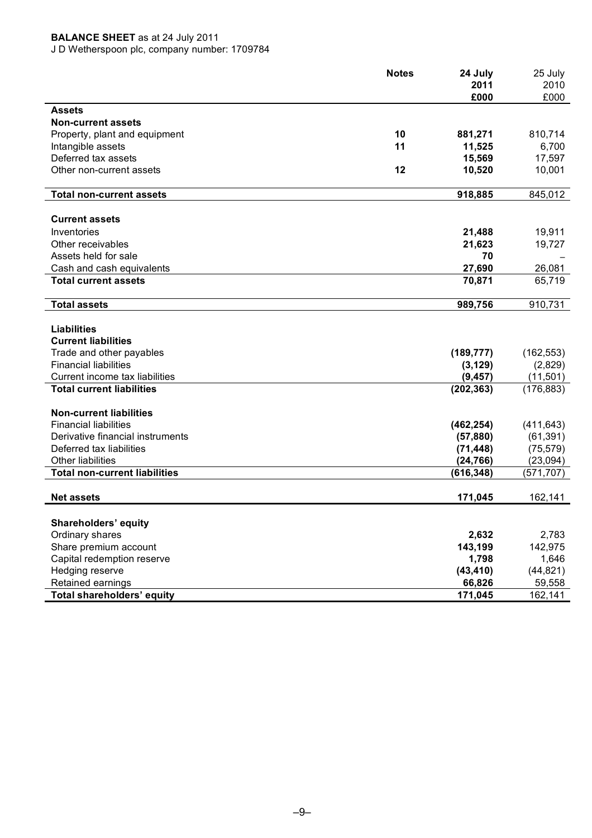# **BALANCE SHEET** as at 24 July 2011

J D Wetherspoon plc, company number: 1709784

| 2010<br>2011<br>£000<br>£000<br><b>Assets</b><br><b>Non-current assets</b><br>10<br>881,271<br>810,714<br>Property, plant and equipment<br>11<br>11,525<br>6,700<br>Intangible assets<br>Deferred tax assets<br>15,569<br>17,597<br>12<br>Other non-current assets<br>10,520<br>10,001<br>918,885<br>845,012<br><b>Total non-current assets</b><br><b>Current assets</b><br>Inventories<br>19,911<br>21,488<br>Other receivables<br>21,623<br>19,727<br>Assets held for sale<br>70<br>27,690<br>26,081<br>Cash and cash equivalents<br>70,871<br>65,719<br><b>Total current assets</b><br>989,756<br>910,731<br><b>Total assets</b><br><b>Liabilities</b><br><b>Current liabilities</b><br>Trade and other payables<br>(189, 777)<br>(162, 553)<br><b>Financial liabilities</b><br>(2,829)<br>(3, 129)<br>(11, 501)<br>Current income tax liabilities<br>(9, 457)<br>(176, 883)<br><b>Total current liabilities</b><br>(202, 363)<br><b>Non-current liabilities</b><br><b>Financial liabilities</b><br>(411, 643)<br>(462, 254)<br>(61, 391)<br>Derivative financial instruments<br>(57, 880) |
|-----------------------------------------------------------------------------------------------------------------------------------------------------------------------------------------------------------------------------------------------------------------------------------------------------------------------------------------------------------------------------------------------------------------------------------------------------------------------------------------------------------------------------------------------------------------------------------------------------------------------------------------------------------------------------------------------------------------------------------------------------------------------------------------------------------------------------------------------------------------------------------------------------------------------------------------------------------------------------------------------------------------------------------------------------------------------------------------------|
|                                                                                                                                                                                                                                                                                                                                                                                                                                                                                                                                                                                                                                                                                                                                                                                                                                                                                                                                                                                                                                                                                               |
|                                                                                                                                                                                                                                                                                                                                                                                                                                                                                                                                                                                                                                                                                                                                                                                                                                                                                                                                                                                                                                                                                               |
|                                                                                                                                                                                                                                                                                                                                                                                                                                                                                                                                                                                                                                                                                                                                                                                                                                                                                                                                                                                                                                                                                               |
|                                                                                                                                                                                                                                                                                                                                                                                                                                                                                                                                                                                                                                                                                                                                                                                                                                                                                                                                                                                                                                                                                               |
|                                                                                                                                                                                                                                                                                                                                                                                                                                                                                                                                                                                                                                                                                                                                                                                                                                                                                                                                                                                                                                                                                               |
|                                                                                                                                                                                                                                                                                                                                                                                                                                                                                                                                                                                                                                                                                                                                                                                                                                                                                                                                                                                                                                                                                               |
|                                                                                                                                                                                                                                                                                                                                                                                                                                                                                                                                                                                                                                                                                                                                                                                                                                                                                                                                                                                                                                                                                               |
|                                                                                                                                                                                                                                                                                                                                                                                                                                                                                                                                                                                                                                                                                                                                                                                                                                                                                                                                                                                                                                                                                               |
|                                                                                                                                                                                                                                                                                                                                                                                                                                                                                                                                                                                                                                                                                                                                                                                                                                                                                                                                                                                                                                                                                               |
|                                                                                                                                                                                                                                                                                                                                                                                                                                                                                                                                                                                                                                                                                                                                                                                                                                                                                                                                                                                                                                                                                               |
|                                                                                                                                                                                                                                                                                                                                                                                                                                                                                                                                                                                                                                                                                                                                                                                                                                                                                                                                                                                                                                                                                               |
|                                                                                                                                                                                                                                                                                                                                                                                                                                                                                                                                                                                                                                                                                                                                                                                                                                                                                                                                                                                                                                                                                               |
|                                                                                                                                                                                                                                                                                                                                                                                                                                                                                                                                                                                                                                                                                                                                                                                                                                                                                                                                                                                                                                                                                               |
|                                                                                                                                                                                                                                                                                                                                                                                                                                                                                                                                                                                                                                                                                                                                                                                                                                                                                                                                                                                                                                                                                               |
|                                                                                                                                                                                                                                                                                                                                                                                                                                                                                                                                                                                                                                                                                                                                                                                                                                                                                                                                                                                                                                                                                               |
|                                                                                                                                                                                                                                                                                                                                                                                                                                                                                                                                                                                                                                                                                                                                                                                                                                                                                                                                                                                                                                                                                               |
|                                                                                                                                                                                                                                                                                                                                                                                                                                                                                                                                                                                                                                                                                                                                                                                                                                                                                                                                                                                                                                                                                               |
|                                                                                                                                                                                                                                                                                                                                                                                                                                                                                                                                                                                                                                                                                                                                                                                                                                                                                                                                                                                                                                                                                               |
|                                                                                                                                                                                                                                                                                                                                                                                                                                                                                                                                                                                                                                                                                                                                                                                                                                                                                                                                                                                                                                                                                               |
|                                                                                                                                                                                                                                                                                                                                                                                                                                                                                                                                                                                                                                                                                                                                                                                                                                                                                                                                                                                                                                                                                               |
|                                                                                                                                                                                                                                                                                                                                                                                                                                                                                                                                                                                                                                                                                                                                                                                                                                                                                                                                                                                                                                                                                               |
|                                                                                                                                                                                                                                                                                                                                                                                                                                                                                                                                                                                                                                                                                                                                                                                                                                                                                                                                                                                                                                                                                               |
|                                                                                                                                                                                                                                                                                                                                                                                                                                                                                                                                                                                                                                                                                                                                                                                                                                                                                                                                                                                                                                                                                               |
|                                                                                                                                                                                                                                                                                                                                                                                                                                                                                                                                                                                                                                                                                                                                                                                                                                                                                                                                                                                                                                                                                               |
|                                                                                                                                                                                                                                                                                                                                                                                                                                                                                                                                                                                                                                                                                                                                                                                                                                                                                                                                                                                                                                                                                               |
|                                                                                                                                                                                                                                                                                                                                                                                                                                                                                                                                                                                                                                                                                                                                                                                                                                                                                                                                                                                                                                                                                               |
|                                                                                                                                                                                                                                                                                                                                                                                                                                                                                                                                                                                                                                                                                                                                                                                                                                                                                                                                                                                                                                                                                               |
|                                                                                                                                                                                                                                                                                                                                                                                                                                                                                                                                                                                                                                                                                                                                                                                                                                                                                                                                                                                                                                                                                               |
| Deferred tax liabilities<br>(75, 579)<br>(71, 448)                                                                                                                                                                                                                                                                                                                                                                                                                                                                                                                                                                                                                                                                                                                                                                                                                                                                                                                                                                                                                                            |
| <b>Other liabilities</b><br>(24, 766)<br>(23,094)                                                                                                                                                                                                                                                                                                                                                                                                                                                                                                                                                                                                                                                                                                                                                                                                                                                                                                                                                                                                                                             |
| (571, 707)<br><b>Total non-current liabilities</b><br>(616, 348)                                                                                                                                                                                                                                                                                                                                                                                                                                                                                                                                                                                                                                                                                                                                                                                                                                                                                                                                                                                                                              |
| <b>Net assets</b><br>171,045<br>162,141                                                                                                                                                                                                                                                                                                                                                                                                                                                                                                                                                                                                                                                                                                                                                                                                                                                                                                                                                                                                                                                       |
|                                                                                                                                                                                                                                                                                                                                                                                                                                                                                                                                                                                                                                                                                                                                                                                                                                                                                                                                                                                                                                                                                               |
| Shareholders' equity<br>Ordinary shares<br>2,632<br>2,783                                                                                                                                                                                                                                                                                                                                                                                                                                                                                                                                                                                                                                                                                                                                                                                                                                                                                                                                                                                                                                     |
| 143,199<br>Share premium account<br>142,975                                                                                                                                                                                                                                                                                                                                                                                                                                                                                                                                                                                                                                                                                                                                                                                                                                                                                                                                                                                                                                                   |
| Capital redemption reserve<br>1,798<br>1,646                                                                                                                                                                                                                                                                                                                                                                                                                                                                                                                                                                                                                                                                                                                                                                                                                                                                                                                                                                                                                                                  |
| Hedging reserve<br>(43, 410)<br>(44, 821)                                                                                                                                                                                                                                                                                                                                                                                                                                                                                                                                                                                                                                                                                                                                                                                                                                                                                                                                                                                                                                                     |
| Retained earnings<br>66,826<br>59,558                                                                                                                                                                                                                                                                                                                                                                                                                                                                                                                                                                                                                                                                                                                                                                                                                                                                                                                                                                                                                                                         |
| Total shareholders' equity<br>171,045<br>162,141                                                                                                                                                                                                                                                                                                                                                                                                                                                                                                                                                                                                                                                                                                                                                                                                                                                                                                                                                                                                                                              |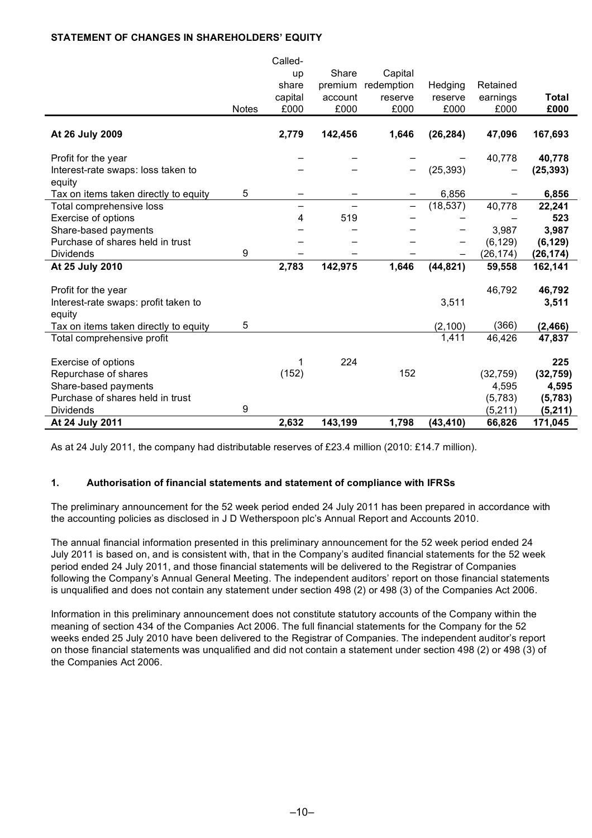# **STATEMENT OF CHANGES IN SHAREHOLDERS' EQUITY**  $\sim$   $\sim$   $\sim$

| Share<br>Capital<br>up<br>share<br>premium<br>redemption<br>Hedging<br>Retained<br>capital<br>earnings<br>account<br>Total<br>reserve<br>reserve<br>£000<br>£000<br>£000<br>£000<br>£000<br>£000<br><b>Notes</b><br>2,779<br>142,456<br>1,646<br>(26, 284)<br>47,096<br>At 26 July 2009<br>167,693<br>40,778<br>Profit for the year<br>40,778<br>(25, 393)<br>(25, 393)<br>Interest-rate swaps: loss taken to<br>equity<br>5<br>6,856<br>Tax on items taken directly to equity<br>6,856<br>(18, 537)<br>40,778<br>Total comprehensive loss<br>22,241<br>519<br>Exercise of options<br>4<br>523<br>3,987<br>Share-based payments<br>3,987<br>Purchase of shares held in trust<br>(6, 129)<br>(6, 129)<br>9<br><b>Dividends</b><br>(26, 174)<br>(26, 174)<br>2,783<br>142,975<br>1,646<br>(44, 821)<br>At 25 July 2010<br>59,558<br>162,141<br>46,792<br>Profit for the year<br>46,792<br>Interest-rate swaps: profit taken to<br>3,511<br>3,511<br>equity<br>(366)<br>5<br>Tax on items taken directly to equity<br>(2, 100)<br>(2, 466)<br>1,411<br>46,426<br>47,837<br>Total comprehensive profit<br>224<br>225<br>Exercise of options<br>(152)<br>152<br>Repurchase of shares<br>(32, 759)<br>(32, 759)<br>Share-based payments<br>4,595<br>4,595<br>Purchase of shares held in trust<br>(5,783)<br>(5,783)<br>9<br><b>Dividends</b><br>(5,211)<br>(5,211)<br>2,632<br>143,199<br>1,798<br>(43, 410)<br>At 24 July 2011<br>66,826<br>171,045 |  | Called- |  |  |  |
|------------------------------------------------------------------------------------------------------------------------------------------------------------------------------------------------------------------------------------------------------------------------------------------------------------------------------------------------------------------------------------------------------------------------------------------------------------------------------------------------------------------------------------------------------------------------------------------------------------------------------------------------------------------------------------------------------------------------------------------------------------------------------------------------------------------------------------------------------------------------------------------------------------------------------------------------------------------------------------------------------------------------------------------------------------------------------------------------------------------------------------------------------------------------------------------------------------------------------------------------------------------------------------------------------------------------------------------------------------------------------------------------------------------------------------------------|--|---------|--|--|--|
|                                                                                                                                                                                                                                                                                                                                                                                                                                                                                                                                                                                                                                                                                                                                                                                                                                                                                                                                                                                                                                                                                                                                                                                                                                                                                                                                                                                                                                                |  |         |  |  |  |
|                                                                                                                                                                                                                                                                                                                                                                                                                                                                                                                                                                                                                                                                                                                                                                                                                                                                                                                                                                                                                                                                                                                                                                                                                                                                                                                                                                                                                                                |  |         |  |  |  |
|                                                                                                                                                                                                                                                                                                                                                                                                                                                                                                                                                                                                                                                                                                                                                                                                                                                                                                                                                                                                                                                                                                                                                                                                                                                                                                                                                                                                                                                |  |         |  |  |  |
|                                                                                                                                                                                                                                                                                                                                                                                                                                                                                                                                                                                                                                                                                                                                                                                                                                                                                                                                                                                                                                                                                                                                                                                                                                                                                                                                                                                                                                                |  |         |  |  |  |
|                                                                                                                                                                                                                                                                                                                                                                                                                                                                                                                                                                                                                                                                                                                                                                                                                                                                                                                                                                                                                                                                                                                                                                                                                                                                                                                                                                                                                                                |  |         |  |  |  |
|                                                                                                                                                                                                                                                                                                                                                                                                                                                                                                                                                                                                                                                                                                                                                                                                                                                                                                                                                                                                                                                                                                                                                                                                                                                                                                                                                                                                                                                |  |         |  |  |  |
|                                                                                                                                                                                                                                                                                                                                                                                                                                                                                                                                                                                                                                                                                                                                                                                                                                                                                                                                                                                                                                                                                                                                                                                                                                                                                                                                                                                                                                                |  |         |  |  |  |
|                                                                                                                                                                                                                                                                                                                                                                                                                                                                                                                                                                                                                                                                                                                                                                                                                                                                                                                                                                                                                                                                                                                                                                                                                                                                                                                                                                                                                                                |  |         |  |  |  |
|                                                                                                                                                                                                                                                                                                                                                                                                                                                                                                                                                                                                                                                                                                                                                                                                                                                                                                                                                                                                                                                                                                                                                                                                                                                                                                                                                                                                                                                |  |         |  |  |  |
|                                                                                                                                                                                                                                                                                                                                                                                                                                                                                                                                                                                                                                                                                                                                                                                                                                                                                                                                                                                                                                                                                                                                                                                                                                                                                                                                                                                                                                                |  |         |  |  |  |
|                                                                                                                                                                                                                                                                                                                                                                                                                                                                                                                                                                                                                                                                                                                                                                                                                                                                                                                                                                                                                                                                                                                                                                                                                                                                                                                                                                                                                                                |  |         |  |  |  |
|                                                                                                                                                                                                                                                                                                                                                                                                                                                                                                                                                                                                                                                                                                                                                                                                                                                                                                                                                                                                                                                                                                                                                                                                                                                                                                                                                                                                                                                |  |         |  |  |  |
|                                                                                                                                                                                                                                                                                                                                                                                                                                                                                                                                                                                                                                                                                                                                                                                                                                                                                                                                                                                                                                                                                                                                                                                                                                                                                                                                                                                                                                                |  |         |  |  |  |
|                                                                                                                                                                                                                                                                                                                                                                                                                                                                                                                                                                                                                                                                                                                                                                                                                                                                                                                                                                                                                                                                                                                                                                                                                                                                                                                                                                                                                                                |  |         |  |  |  |
|                                                                                                                                                                                                                                                                                                                                                                                                                                                                                                                                                                                                                                                                                                                                                                                                                                                                                                                                                                                                                                                                                                                                                                                                                                                                                                                                                                                                                                                |  |         |  |  |  |
|                                                                                                                                                                                                                                                                                                                                                                                                                                                                                                                                                                                                                                                                                                                                                                                                                                                                                                                                                                                                                                                                                                                                                                                                                                                                                                                                                                                                                                                |  |         |  |  |  |
|                                                                                                                                                                                                                                                                                                                                                                                                                                                                                                                                                                                                                                                                                                                                                                                                                                                                                                                                                                                                                                                                                                                                                                                                                                                                                                                                                                                                                                                |  |         |  |  |  |
|                                                                                                                                                                                                                                                                                                                                                                                                                                                                                                                                                                                                                                                                                                                                                                                                                                                                                                                                                                                                                                                                                                                                                                                                                                                                                                                                                                                                                                                |  |         |  |  |  |
|                                                                                                                                                                                                                                                                                                                                                                                                                                                                                                                                                                                                                                                                                                                                                                                                                                                                                                                                                                                                                                                                                                                                                                                                                                                                                                                                                                                                                                                |  |         |  |  |  |
|                                                                                                                                                                                                                                                                                                                                                                                                                                                                                                                                                                                                                                                                                                                                                                                                                                                                                                                                                                                                                                                                                                                                                                                                                                                                                                                                                                                                                                                |  |         |  |  |  |
|                                                                                                                                                                                                                                                                                                                                                                                                                                                                                                                                                                                                                                                                                                                                                                                                                                                                                                                                                                                                                                                                                                                                                                                                                                                                                                                                                                                                                                                |  |         |  |  |  |
|                                                                                                                                                                                                                                                                                                                                                                                                                                                                                                                                                                                                                                                                                                                                                                                                                                                                                                                                                                                                                                                                                                                                                                                                                                                                                                                                                                                                                                                |  |         |  |  |  |
|                                                                                                                                                                                                                                                                                                                                                                                                                                                                                                                                                                                                                                                                                                                                                                                                                                                                                                                                                                                                                                                                                                                                                                                                                                                                                                                                                                                                                                                |  |         |  |  |  |
|                                                                                                                                                                                                                                                                                                                                                                                                                                                                                                                                                                                                                                                                                                                                                                                                                                                                                                                                                                                                                                                                                                                                                                                                                                                                                                                                                                                                                                                |  |         |  |  |  |
|                                                                                                                                                                                                                                                                                                                                                                                                                                                                                                                                                                                                                                                                                                                                                                                                                                                                                                                                                                                                                                                                                                                                                                                                                                                                                                                                                                                                                                                |  |         |  |  |  |
|                                                                                                                                                                                                                                                                                                                                                                                                                                                                                                                                                                                                                                                                                                                                                                                                                                                                                                                                                                                                                                                                                                                                                                                                                                                                                                                                                                                                                                                |  |         |  |  |  |
|                                                                                                                                                                                                                                                                                                                                                                                                                                                                                                                                                                                                                                                                                                                                                                                                                                                                                                                                                                                                                                                                                                                                                                                                                                                                                                                                                                                                                                                |  |         |  |  |  |
|                                                                                                                                                                                                                                                                                                                                                                                                                                                                                                                                                                                                                                                                                                                                                                                                                                                                                                                                                                                                                                                                                                                                                                                                                                                                                                                                                                                                                                                |  |         |  |  |  |
|                                                                                                                                                                                                                                                                                                                                                                                                                                                                                                                                                                                                                                                                                                                                                                                                                                                                                                                                                                                                                                                                                                                                                                                                                                                                                                                                                                                                                                                |  |         |  |  |  |
|                                                                                                                                                                                                                                                                                                                                                                                                                                                                                                                                                                                                                                                                                                                                                                                                                                                                                                                                                                                                                                                                                                                                                                                                                                                                                                                                                                                                                                                |  |         |  |  |  |

As at 24 July 2011, the company had distributable reserves of £23.4 million (2010: £14.7 million).

# **1. Authorisation of financial statements and statement of compliance with IFRSs**

The preliminary announcement for the 52 week period ended 24 July 2011 has been prepared in accordance with the accounting policies as disclosed in J D Wetherspoon plc's Annual Report and Accounts 2010.

The annual financial information presented in this preliminary announcement for the 52 week period ended 24 July 2011 is based on, and is consistent with, that in the Company's audited financial statements for the 52 week period ended 24 July 2011, and those financial statements will be delivered to the Registrar of Companies following the Company's Annual General Meeting. The independent auditors' report on those financial statements is unqualified and does not contain any statement under section 498 (2) or 498 (3) of the Companies Act 2006.

Information in this preliminary announcement does not constitute statutory accounts of the Company within the meaning of section 434 of the Companies Act 2006. The full financial statements for the Company for the 52 weeks ended 25 July 2010 have been delivered to the Registrar of Companies. The independent auditor's report on those financial statements was unqualified and did not contain a statement under section 498 (2) or 498 (3) of the Companies Act 2006.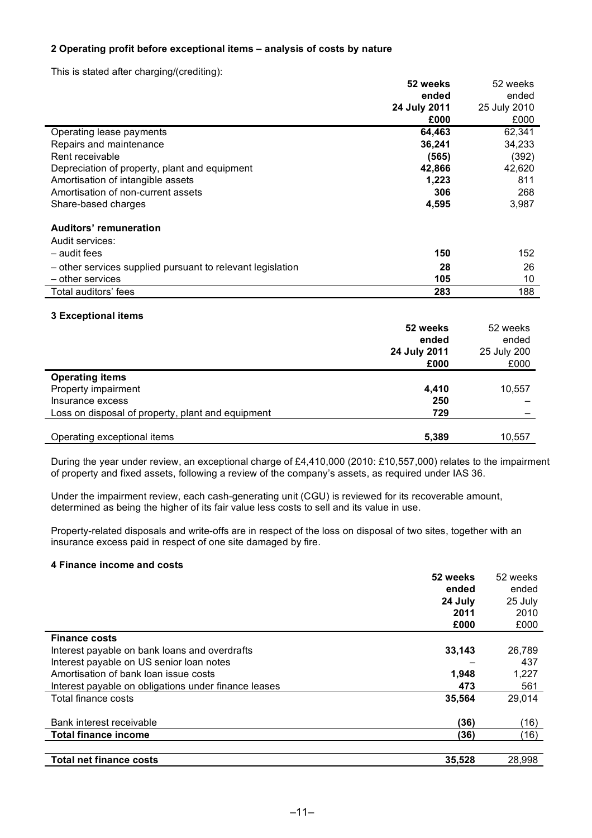# **2 Operating profit before exceptional items – analysis of costs by nature**

This is stated after charging/(crediting):

|                                                            | 52 weeks<br>ended<br>24 July 2011<br>£000 | 52 weeks<br>ended<br>25 July 2010<br>£000 |
|------------------------------------------------------------|-------------------------------------------|-------------------------------------------|
| Operating lease payments                                   | 64,463                                    | 62,341                                    |
| Repairs and maintenance                                    | 36,241                                    | 34,233                                    |
| Rent receivable                                            | (565)                                     | (392)                                     |
| Depreciation of property, plant and equipment              | 42,866                                    | 42,620                                    |
| Amortisation of intangible assets                          | 1,223                                     | 811                                       |
| Amortisation of non-current assets                         | 306                                       | 268                                       |
| Share-based charges                                        | 4,595                                     | 3,987                                     |
| <b>Auditors' remuneration</b>                              |                                           |                                           |
| Audit services:                                            |                                           |                                           |
| - audit fees                                               | 150                                       | 152                                       |
| - other services supplied pursuant to relevant legislation | 28                                        | 26                                        |
| - other services                                           | 105                                       | 10                                        |
| Total auditors' fees                                       | 283                                       | 188                                       |
|                                                            |                                           |                                           |

# **3 Exceptional items**

|                                                   | 52 weeks<br>ended<br>24 July 2011<br>£000 | 52 weeks<br>ended<br>25 July 200<br>£000 |
|---------------------------------------------------|-------------------------------------------|------------------------------------------|
| <b>Operating items</b>                            |                                           |                                          |
| Property impairment                               | 4,410                                     | 10,557                                   |
| Insurance excess                                  | 250                                       |                                          |
| Loss on disposal of property, plant and equipment | 729                                       |                                          |
|                                                   |                                           |                                          |
| Operating exceptional items                       | 5,389                                     | 10,557                                   |

During the year under review, an exceptional charge of £4,410,000 (2010: £10,557,000) relates to the impairment of property and fixed assets, following a review of the company's assets, as required under IAS 36.

Under the impairment review, each cash-generating unit (CGU) is reviewed for its recoverable amount, determined as being the higher of its fair value less costs to sell and its value in use.

Property-related disposals and write-offs are in respect of the loss on disposal of two sites, together with an insurance excess paid in respect of one site damaged by fire.

#### **4 Finance income and costs**

|                                                      | 52 weeks | 52 weeks |
|------------------------------------------------------|----------|----------|
|                                                      | ended    | ended    |
|                                                      | 24 July  | 25 July  |
|                                                      | 2011     | 2010     |
|                                                      | £000     | £000     |
| <b>Finance costs</b>                                 |          |          |
| Interest payable on bank loans and overdrafts        | 33,143   | 26,789   |
| Interest payable on US senior loan notes             |          | 437      |
| Amortisation of bank loan issue costs                | 1,948    | 1,227    |
| Interest payable on obligations under finance leases | 473      | 561      |
| Total finance costs                                  | 35,564   | 29,014   |
|                                                      |          |          |
| Bank interest receivable                             | (36)     | (16)     |
| <b>Total finance income</b>                          | (36)     | (16)     |
|                                                      |          |          |
| <b>Total net finance costs</b>                       | 35,528   | 28,998   |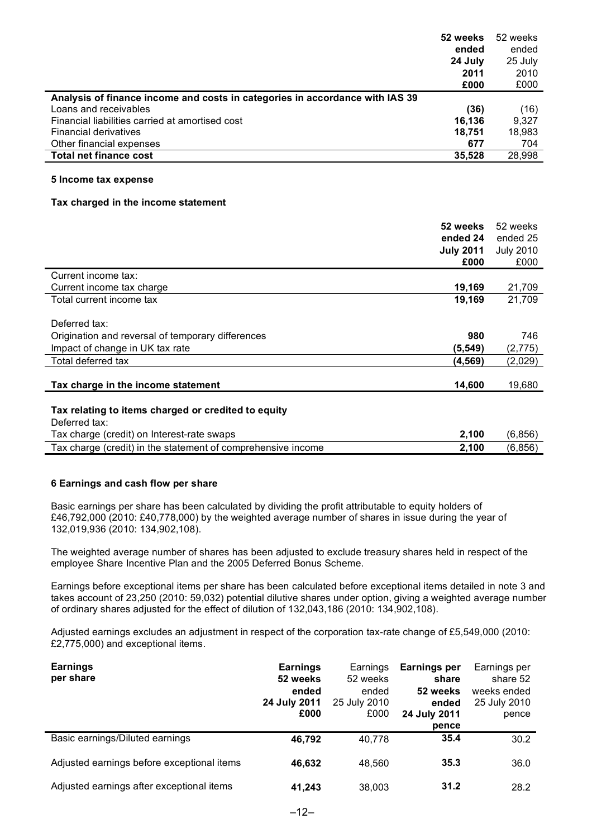|                                                                              | 52 weeks<br>ended<br>24 July | 52 weeks<br>ended<br>25 July |
|------------------------------------------------------------------------------|------------------------------|------------------------------|
|                                                                              | 2011                         | 2010                         |
|                                                                              | £000                         | £000                         |
| Analysis of finance income and costs in categories in accordance with IAS 39 |                              |                              |
| Loans and receivables                                                        | (36)                         | (16)                         |
| Financial liabilities carried at amortised cost                              | 16,136                       | 9,327                        |
| <b>Financial derivatives</b>                                                 | 18,751                       | 18,983                       |
| Other financial expenses                                                     | 677                          | 704                          |
| <b>Total net finance cost</b>                                                | 35,528                       | 28,998                       |
| 5 Income tax expense<br>Tax charged in the income statement                  |                              |                              |
|                                                                              | 52 weeks                     | 52 weeks                     |
|                                                                              | ended 24                     | ended 25                     |
|                                                                              | <b>July 2011</b>             | <b>July 2010</b>             |
|                                                                              | £000                         | £000                         |
| Current income tax:                                                          |                              |                              |
| Current income tax charge                                                    | 19,169                       | 21,709                       |
| Total current income tax                                                     | 19,169                       | 21,709                       |
| Deferred tax:                                                                |                              |                              |
| Origination and reversal of temporary differences                            | 980                          | 746                          |
| Impact of change in UK tax rate                                              | (5, 549)                     | (2,775)                      |
| Total deferred tax                                                           | (4, 569)                     | (2,029)                      |
| Tax charge in the income statement                                           | 14,600                       | 19,680                       |
| Tax relating to items charged or credited to equity<br>Deferred tax:         |                              |                              |
| Tax charge (credit) on Interest-rate swaps                                   | 2,100                        | (6, 856)                     |
| Tax charge (credit) in the statement of comprehensive income                 | 2,100                        | (6, 856)                     |

# **6 Earnings and cash flow per share**

Basic earnings per share has been calculated by dividing the profit attributable to equity holders of £46,792,000 (2010: £40,778,000) by the weighted average number of shares in issue during the year of 132,019,936 (2010: 134,902,108).

The weighted average number of shares has been adjusted to exclude treasury shares held in respect of the employee Share Incentive Plan and the 2005 Deferred Bonus Scheme.

Earnings before exceptional items per share has been calculated before exceptional items detailed in note 3 and takes account of 23,250 (2010: 59,032) potential dilutive shares under option, giving a weighted average number of ordinary shares adjusted for the effect of dilution of 132,043,186 (2010: 134,902,108).

Adjusted earnings excludes an adjustment in respect of the corporation tax-rate change of £5,549,000 (2010: £2,775,000) and exceptional items.

| <b>Earnings</b><br>per share               | <b>Earnings</b><br>52 weeks | Earnings<br>52 weeks | Earnings per<br>share | Earnings per<br>share 52 |
|--------------------------------------------|-----------------------------|----------------------|-----------------------|--------------------------|
|                                            | ended                       | ended                | 52 weeks              | weeks ended              |
|                                            | 24 July 2011<br>£000        | 25 July 2010<br>£000 | ended<br>24 July 2011 | 25 July 2010<br>pence    |
|                                            |                             |                      | pence                 |                          |
| Basic earnings/Diluted earnings            | 46.792                      | 40.778               | 35.4                  | 30.2                     |
| Adjusted earnings before exceptional items | 46.632                      | 48.560               | 35.3                  | 36.0                     |
| Adjusted earnings after exceptional items  | 41.243                      | 38,003               | 31.2                  | 28.2                     |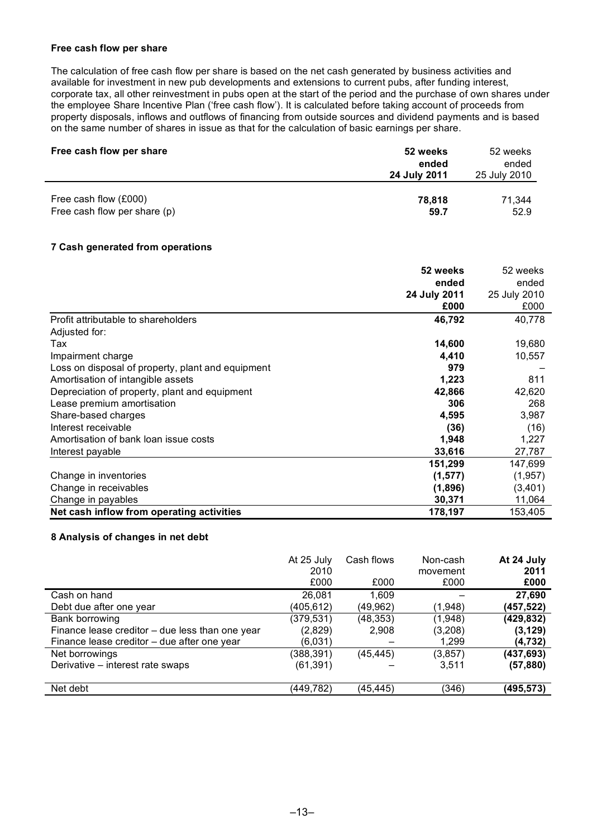#### **Free cash flow per share**

The calculation of free cash flow per share is based on the net cash generated by business activities and available for investment in new pub developments and extensions to current pubs, after funding interest, corporate tax, all other reinvestment in pubs open at the start of the period and the purchase of own shares under the employee Share Incentive Plan ('free cash flow'). It is calculated before taking account of proceeds from property disposals, inflows and outflows of financing from outside sources and dividend payments and is based on the same number of shares in issue as that for the calculation of basic earnings per share.

| Free cash flow per share     | 52 weeks<br>ended<br>24 July 2011 | 52 weeks<br>ended<br>25 July 2010 |
|------------------------------|-----------------------------------|-----------------------------------|
| Free cash flow (£000)        | 78,818                            | 71,344                            |
| Free cash flow per share (p) | 59.7                              | 52.9                              |

# **7 Cash generated from operations**

|                                                   | 52 weeks     | 52 weeks     |
|---------------------------------------------------|--------------|--------------|
|                                                   | ended        | ended        |
|                                                   | 24 July 2011 | 25 July 2010 |
|                                                   | £000         | £000         |
| Profit attributable to shareholders               | 46,792       | 40,778       |
| Adjusted for:                                     |              |              |
| Tax                                               | 14,600       | 19,680       |
| Impairment charge                                 | 4,410        | 10,557       |
| Loss on disposal of property, plant and equipment | 979          |              |
| Amortisation of intangible assets                 | 1,223        | 811          |
| Depreciation of property, plant and equipment     | 42,866       | 42,620       |
| Lease premium amortisation                        | 306          | 268          |
| Share-based charges                               | 4,595        | 3,987        |
| Interest receivable                               | (36)         | (16)         |
| Amortisation of bank loan issue costs             | 1,948        | 1,227        |
| Interest payable                                  | 33,616       | 27,787       |
|                                                   | 151,299      | 147,699      |
| Change in inventories                             | (1, 577)     | (1,957)      |
| Change in receivables                             | (1,896)      | (3,401)      |
| Change in payables                                | 30,371       | 11,064       |
| Net cash inflow from operating activities         | 178,197      | 153,405      |

# **8 Analysis of changes in net debt**

|                                                 | At 25 July<br>2010<br>£000 | Cash flows<br>£000 | Non-cash<br>movement<br>£000 | At 24 July<br>2011<br>£000 |
|-------------------------------------------------|----------------------------|--------------------|------------------------------|----------------------------|
| Cash on hand                                    | 26.081                     | 1,609              |                              | 27,690                     |
| Debt due after one year                         | (405,612)                  | (49,962)           | (1,948)                      | (457,522)                  |
| Bank borrowing                                  | (379,531)                  | (48,353)           | (1,948)                      | (429,832)                  |
| Finance lease creditor - due less than one year | (2,829)                    | 2,908              | (3,208)                      | (3, 129)                   |
| Finance lease creditor - due after one year     | (6,031)                    |                    | 1,299                        | (4,732)                    |
| Net borrowings                                  | (388,391)                  | (45, 445)          | (3, 857)                     | (437,693)                  |
| Derivative - interest rate swaps                | (61, 391)                  |                    | 3,511                        | (57, 880)                  |
| Net debt                                        | (449,782)                  | (45,445)           | (346)                        | (495,573)                  |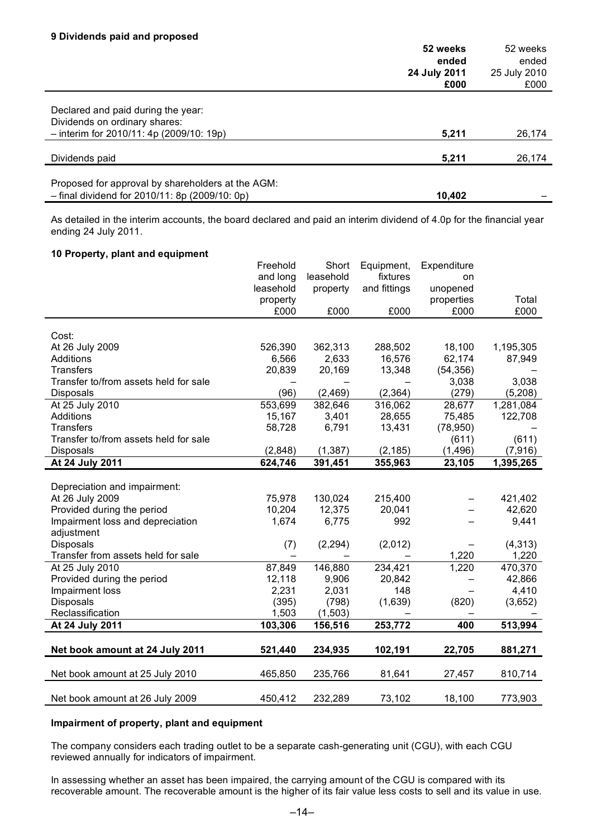|                                                                     | 52 weeks<br>ended<br>24 July 2011 | 52 weeks<br>ended<br>25 July 2010 |
|---------------------------------------------------------------------|-----------------------------------|-----------------------------------|
|                                                                     | £000                              | £000                              |
| Declared and paid during the year:<br>Dividends on ordinary shares: |                                   |                                   |
| $-$ interim for 2010/11: 4p (2009/10: 19p)                          | 5,211                             | 26,174                            |
|                                                                     |                                   |                                   |
| Dividends paid                                                      | 5,211                             | 26,174                            |
| Proposed for approval by shareholders at the AGM:                   |                                   |                                   |
| $-$ final dividend for 2010/11: 8p (2009/10: 0p)                    | 10,402                            |                                   |

As detailed in the interim accounts, the board declared and paid an interim dividend of 4.0p for the financial year ending 24 July 2011.

#### **10 Property, plant and equipment**

|                                       | Freehold          | Short     | Equipment,   | Expenditure |           |
|---------------------------------------|-------------------|-----------|--------------|-------------|-----------|
|                                       | and long          | leasehold | fixtures     | on          |           |
|                                       | leasehold         | property  | and fittings | unopened    |           |
|                                       | property          |           |              | properties  | Total     |
|                                       | £000              | £000      | £000         | £000        | £000      |
|                                       |                   |           |              |             |           |
| Cost:                                 |                   |           |              |             |           |
| At 26 July 2009                       | 526,390           | 362,313   | 288,502      | 18,100      | 1,195,305 |
| Additions                             | 6,566             | 2,633     | 16,576       | 62,174      | 87,949    |
| <b>Transfers</b>                      | 20,839            | 20,169    | 13,348       | (54, 356)   |           |
| Transfer to/from assets held for sale |                   |           |              | 3,038       | 3,038     |
| <b>Disposals</b>                      | (96)              | (2,469)   | (2, 364)     | (279)       | (5,208)   |
| At 25 July 2010                       | 553,699           | 382,646   | 316,062      | 28,677      | 1,281,084 |
| Additions                             | 15,167            | 3,401     | 28,655       | 75,485      | 122,708   |
| <b>Transfers</b>                      | 58,728            | 6,791     | 13,431       | (78,950)    |           |
| Transfer to/from assets held for sale |                   |           |              | (611)       | (611)     |
| <b>Disposals</b>                      | (2,848)           | (1, 387)  | (2, 185)     | (1, 496)    | (7,916)   |
| At 24 July 2011                       | 624,746           | 391,451   | 355,963      | 23,105      | 1,395,265 |
|                                       |                   |           |              |             |           |
| Depreciation and impairment:          |                   |           |              |             |           |
| At 26 July 2009                       | 75,978            | 130,024   | 215,400      |             | 421,402   |
| Provided during the period            | 10,204            | 12,375    | 20,041       |             | 42,620    |
| Impairment loss and depreciation      | 1,674             | 6,775     | 992          |             | 9,441     |
| adjustment                            |                   |           |              |             |           |
| Disposals                             | (7)               | (2, 294)  | (2,012)      |             | (4, 313)  |
| Transfer from assets held for sale    | $\qquad \qquad -$ |           |              | 1,220       | 1,220     |
| At 25 July 2010                       | 87,849            | 146,880   | 234,421      | 1,220       | 470,370   |
| Provided during the period            | 12,118            | 9,906     | 20,842       |             | 42,866    |
| Impairment loss                       | 2,231             | 2,031     | 148          |             | 4,410     |
| <b>Disposals</b>                      | (395)             | (798)     | (1,639)      | (820)       | (3,652)   |
| Reclassification                      | 1,503             | (1,503)   |              |             |           |
| At 24 July 2011                       | 103,306           | 156,516   | 253,772      | 400         | 513,994   |
|                                       |                   |           |              |             |           |
| Net book amount at 24 July 2011       | 521,440           | 234,935   | 102,191      | 22,705      | 881,271   |
|                                       |                   |           |              |             |           |
| Net book amount at 25 July 2010       | 465,850           | 235,766   | 81,641       | 27,457      | 810,714   |
|                                       |                   |           |              |             |           |
| Net book amount at 26 July 2009       | 450,412           | 232,289   | 73,102       | 18,100      | 773,903   |

#### **Impairment of property, plant and equipment**

The company considers each trading outlet to be a separate cash-generating unit (CGU), with each CGU reviewed annually for indicators of impairment.

In assessing whether an asset has been impaired, the carrying amount of the CGU is compared with its recoverable amount. The recoverable amount is the higher of its fair value less costs to sell and its value in use.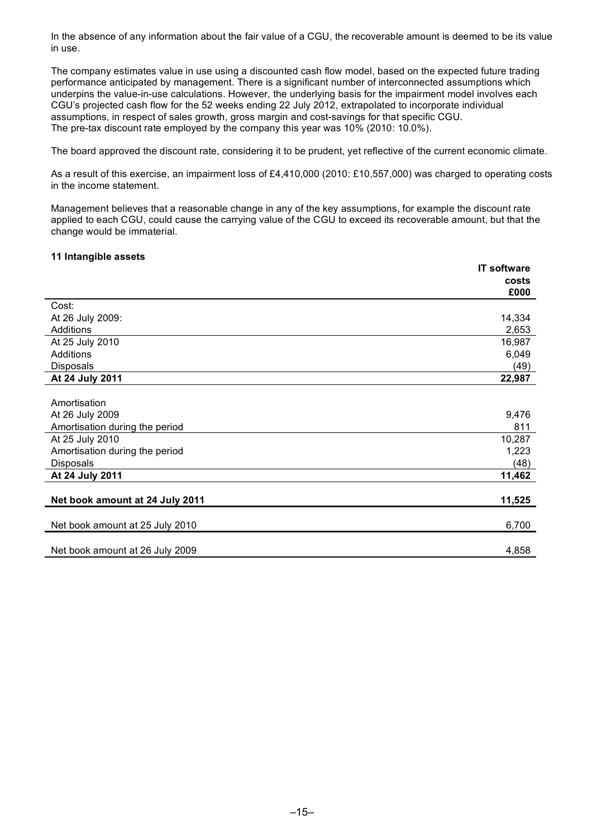In the absence of any information about the fair value of a CGU, the recoverable amount is deemed to be its value in use.

The company estimates value in use using a discounted cash flow model, based on the expected future trading performance anticipated by management. There is a significant number of interconnected assumptions which underpins the value-in-use calculations. However, the underlying basis for the impairment model involves each CGU's projected cash flow for the 52 weeks ending 22 July 2012, extrapolated to incorporate individual assumptions, in respect of sales growth, gross margin and cost-savings for that specific CGU. The pre-tax discount rate employed by the company this year was 10% (2010: 10.0%).

The board approved the discount rate, considering it to be prudent, yet reflective of the current economic climate.

As a result of this exercise, an impairment loss of £4,410,000 (2010: £10,557,000) was charged to operating costs in the income statement.

Management believes that a reasonable change in any of the key assumptions, for example the discount rate applied to each CGU, could cause the carrying value of the CGU to exceed its recoverable amount, but that the change would be immaterial.

## **11 Intangible assets**

|                                 | <b>IT software</b> |
|---------------------------------|--------------------|
|                                 | costs              |
|                                 | £000               |
| Cost:                           |                    |
| At 26 July 2009:                | 14,334             |
| Additions                       | 2,653              |
| At 25 July 2010                 | 16,987             |
| Additions                       | 6,049              |
| <b>Disposals</b>                | (49)               |
| At 24 July 2011                 | 22,987             |
|                                 |                    |
| Amortisation                    |                    |
| At 26 July 2009                 | 9,476              |
| Amortisation during the period  | 811                |
| At 25 July 2010                 | 10,287             |
| Amortisation during the period  | 1,223              |
| <b>Disposals</b>                | (48)               |
| At 24 July 2011                 | 11,462             |
|                                 |                    |
| Net book amount at 24 July 2011 | 11,525             |
| Net book amount at 25 July 2010 | 6,700              |
|                                 |                    |
| Net book amount at 26 July 2009 | 4,858              |